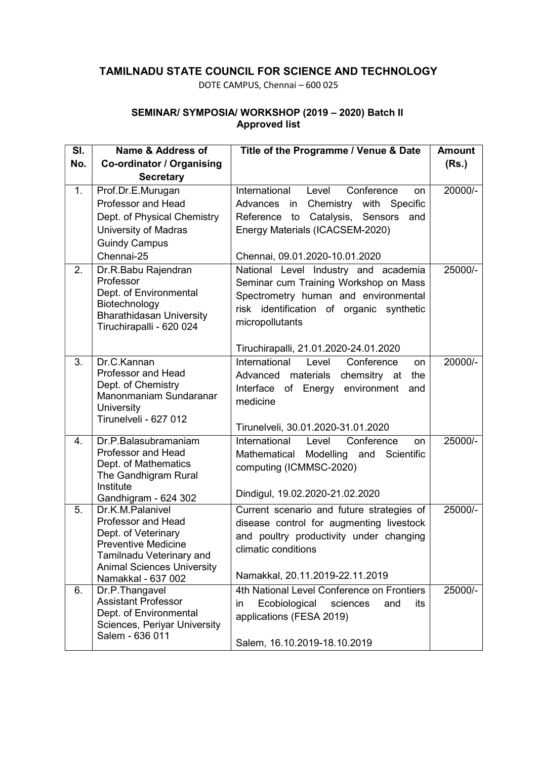## TAMILNADU STATE COUNCIL FOR SCIENCE AND TECHNOLOGY

DOTE CAMPUS, Chennai – 600 025

## SEMINAR/ SYMPOSIA/ WORKSHOP (2019 – 2020) Batch II Approved list

| SI. | Name & Address of                                                                                                                                                     | Title of the Programme / Venue & Date                                                                                                                                                | <b>Amount</b> |
|-----|-----------------------------------------------------------------------------------------------------------------------------------------------------------------------|--------------------------------------------------------------------------------------------------------------------------------------------------------------------------------------|---------------|
| No. | Co-ordinator / Organising                                                                                                                                             |                                                                                                                                                                                      | (Rs.)         |
|     | <b>Secretary</b>                                                                                                                                                      |                                                                                                                                                                                      |               |
| 1.  | Prof.Dr.E.Murugan                                                                                                                                                     | International<br>Conference<br>Level<br>on                                                                                                                                           | 20000/-       |
|     | Professor and Head                                                                                                                                                    | in<br>Chemistry with Specific<br>Advances                                                                                                                                            |               |
|     | Dept. of Physical Chemistry                                                                                                                                           | to Catalysis, Sensors<br>Reference<br>and                                                                                                                                            |               |
|     | <b>University of Madras</b>                                                                                                                                           | Energy Materials (ICACSEM-2020)                                                                                                                                                      |               |
|     | <b>Guindy Campus</b>                                                                                                                                                  |                                                                                                                                                                                      |               |
|     | Chennai-25                                                                                                                                                            | Chennai, 09.01.2020-10.01.2020                                                                                                                                                       |               |
| 2.  | Dr.R.Babu Rajendran<br>Professor<br>Dept. of Environmental<br>Biotechnology<br><b>Bharathidasan University</b><br>Tiruchirapalli - 620 024                            | National Level Industry and academia<br>Seminar cum Training Workshop on Mass<br>Spectrometry human and environmental<br>risk identification of organic synthetic<br>micropollutants | 25000/-       |
|     |                                                                                                                                                                       | Tiruchirapalli, 21.01.2020-24.01.2020                                                                                                                                                |               |
| 3.  | Dr.C.Kannan<br><b>Professor and Head</b><br>Dept. of Chemistry<br>Manonmaniam Sundaranar<br><b>University</b><br>Tirunelveli - 627 012                                | International<br>Level<br>Conference<br>on<br>Advanced materials chemsitry at<br>the<br>Interface of Energy environment<br>and<br>medicine<br>Tirunelveli, 30.01.2020-31.01.2020     | 20000/-       |
| 4.  | Dr.P.Balasubramaniam                                                                                                                                                  | International<br>Level<br>Conference<br>on                                                                                                                                           | 25000/-       |
|     | <b>Professor and Head</b><br>Dept. of Mathematics<br>The Gandhigram Rural<br>Institute<br>Gandhigram - 624 302                                                        | Mathematical Modelling and Scientific<br>computing (ICMMSC-2020)<br>Dindigul, 19.02.2020-21.02.2020                                                                                  |               |
| 5.  | Dr.K.M.Palanivel                                                                                                                                                      | Current scenario and future strategies of                                                                                                                                            | 25000/-       |
|     | <b>Professor and Head</b><br>Dept. of Veterinary<br><b>Preventive Medicine</b><br>Tamilnadu Veterinary and<br><b>Animal Sciences University</b><br>Namakkal - 637 002 | disease control for augmenting livestock<br>and poultry productivity under changing<br>climatic conditions<br>Namakkal, 20.11.2019-22.11.2019                                        |               |
| 6.  | Dr.P.Thangavel                                                                                                                                                        | 4th National Level Conference on Frontiers                                                                                                                                           | 25000/-       |
|     | <b>Assistant Professor</b><br>Dept. of Environmental<br>Sciences, Periyar University<br>Salem - 636 011                                                               | Ecobiological<br>sciences<br>its<br>in<br>and<br>applications (FESA 2019)<br>Salem, 16.10.2019-18.10.2019                                                                            |               |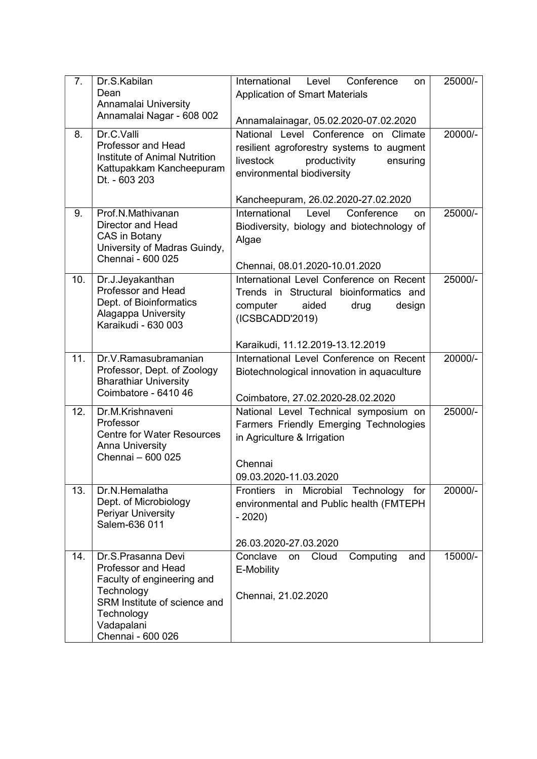| 7.  | Dr.S.Kabilan<br>Dean<br>Annamalai University<br>Annamalai Nagar - 608 002                                                                                             | International<br>Level<br>Conference<br>on<br><b>Application of Smart Materials</b><br>Annamalainagar, 05.02.2020-07.02.2020                             | 25000/- |
|-----|-----------------------------------------------------------------------------------------------------------------------------------------------------------------------|----------------------------------------------------------------------------------------------------------------------------------------------------------|---------|
| 8.  | Dr.C.Valli<br><b>Professor and Head</b><br>Institute of Animal Nutrition<br>Kattupakkam Kancheepuram<br>Dt. - 603 203                                                 | National Level Conference on Climate<br>resilient agroforestry systems to augment<br>productivity<br>livestock<br>ensuring<br>environmental biodiversity | 20000/- |
|     |                                                                                                                                                                       | Kancheepuram, 26.02.2020-27.02.2020                                                                                                                      |         |
| 9.  | Prof.N.Mathivanan<br><b>Director and Head</b><br>CAS in Botany<br>University of Madras Guindy,<br>Chennai - 600 025                                                   | International<br>Level<br>Conference<br>on<br>Biodiversity, biology and biotechnology of<br>Algae<br>Chennai, 08.01.2020-10.01.2020                      | 25000/- |
| 10. | Dr.J.Jeyakanthan<br><b>Professor and Head</b><br>Dept. of Bioinformatics<br>Alagappa University<br>Karaikudi - 630 003                                                | International Level Conference on Recent<br>Trends in Structural bioinformatics and<br>aided<br>computer<br>drug<br>design<br>(ICSBCADD'2019)            | 25000/- |
|     |                                                                                                                                                                       | Karaikudi, 11.12.2019-13.12.2019                                                                                                                         |         |
| 11. | Dr.V.Ramasubramanian<br>Professor, Dept. of Zoology<br><b>Bharathiar University</b><br>Coimbatore - 6410 46                                                           | International Level Conference on Recent<br>Biotechnological innovation in aquaculture                                                                   | 20000/- |
| 12. | Dr.M.Krishnaveni                                                                                                                                                      | Coimbatore, 27.02.2020-28.02.2020<br>National Level Technical symposium on                                                                               | 25000/- |
|     | Professor<br><b>Centre for Water Resources</b><br><b>Anna University</b><br>Chennai - 600 025                                                                         | Farmers Friendly Emerging Technologies<br>in Agriculture & Irrigation<br>Chennai<br>09.03.2020-11.03.2020                                                |         |
| 13. | Dr.N.Hemalatha<br>Dept. of Microbiology<br>Periyar University<br>Salem-636 011                                                                                        | Microbial<br><b>Frontiers</b><br>Technology<br>in<br>for<br>environmental and Public health (FMTEPH<br>$-2020$                                           | 20000/- |
|     |                                                                                                                                                                       | 26.03.2020-27.03.2020                                                                                                                                    |         |
| 14. | Dr.S.Prasanna Devi<br>Professor and Head<br>Faculty of engineering and<br>Technology<br>SRM Institute of science and<br>Technology<br>Vadapalani<br>Chennai - 600 026 | Computing<br>Conclave<br>Cloud<br>on<br>and<br>E-Mobility<br>Chennai, 21.02.2020                                                                         | 15000/- |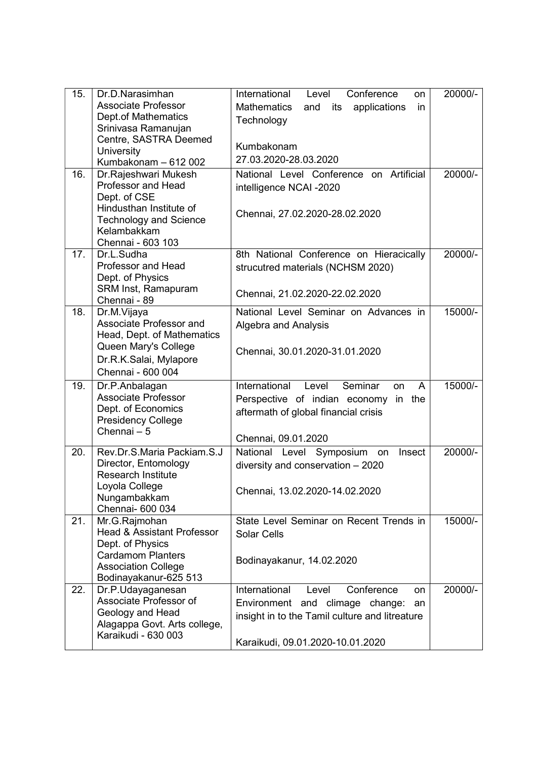| 15. | Dr.D.Narasimhan                                     | International<br>Conference<br>Level<br>on             | 20000/- |
|-----|-----------------------------------------------------|--------------------------------------------------------|---------|
|     | <b>Associate Professor</b>                          | <b>Mathematics</b><br>and<br>applications<br>its<br>in |         |
|     | <b>Dept.of Mathematics</b>                          | Technology                                             |         |
|     | Srinivasa Ramanujan                                 |                                                        |         |
|     | Centre, SASTRA Deemed                               | Kumbakonam                                             |         |
|     | University<br>Kumbakonam - 612 002                  | 27.03.2020-28.03.2020                                  |         |
| 16. | Dr.Rajeshwari Mukesh                                | National Level Conference on Artificial                | 20000/- |
|     | <b>Professor and Head</b>                           | intelligence NCAI -2020                                |         |
|     | Dept. of CSE                                        |                                                        |         |
|     | Hindusthan Institute of                             |                                                        |         |
|     | <b>Technology and Science</b>                       | Chennai, 27.02.2020-28.02.2020                         |         |
|     | Kelambakkam                                         |                                                        |         |
|     | Chennai - 603 103                                   |                                                        |         |
| 17. | Dr.L.Sudha                                          | 8th National Conference on Hieracically                | 20000/- |
|     | <b>Professor and Head</b>                           | strucutred materials (NCHSM 2020)                      |         |
|     | Dept. of Physics                                    |                                                        |         |
|     | SRM Inst, Ramapuram                                 | Chennai, 21.02.2020-22.02.2020                         |         |
|     | Chennai - 89                                        |                                                        |         |
| 18. | Dr.M.Vijaya<br>Associate Professor and              | National Level Seminar on Advances in                  | 15000/- |
|     | Head, Dept. of Mathematics                          | Algebra and Analysis                                   |         |
|     | Queen Mary's College                                |                                                        |         |
|     | Dr.R.K.Salai, Mylapore                              | Chennai, 30.01.2020-31.01.2020                         |         |
|     | Chennai - 600 004                                   |                                                        |         |
|     |                                                     | International<br>Level<br>Seminar                      |         |
| 19. | Dr.P.Anbalagan<br><b>Associate Professor</b>        | on<br>A                                                | 15000/- |
|     | Dept. of Economics                                  | Perspective of indian economy in the                   |         |
|     | <b>Presidency College</b>                           | aftermath of global financial crisis                   |         |
|     | Chennai - 5                                         |                                                        |         |
|     |                                                     | Chennai, 09.01.2020                                    |         |
| 20. | Rev.Dr.S.Maria Packiam.S.J                          | National Level Symposium on<br>Insect                  | 20000/- |
|     | Director, Entomology                                | diversity and conservation - 2020                      |         |
|     | <b>Research Institute</b>                           |                                                        |         |
|     | Loyola College<br>Nungambakkam                      | Chennai, 13.02.2020-14.02.2020                         |         |
|     | Chennai- 600 034                                    |                                                        |         |
| 21. | Mr.G.Rajmohan                                       | State Level Seminar on Recent Trends in                | 15000/- |
|     | <b>Head &amp; Assistant Professor</b>               | <b>Solar Cells</b>                                     |         |
|     | Dept. of Physics                                    |                                                        |         |
|     | <b>Cardamom Planters</b>                            | Bodinayakanur, 14.02.2020                              |         |
|     | <b>Association College</b>                          |                                                        |         |
|     | Bodinayakanur-625 513                               |                                                        |         |
| 22. | Dr.P.Udayaganesan                                   | International<br>Conference<br>Level<br>on             | 20000/- |
|     | Associate Professor of                              | Environment and climage change:<br>an                  |         |
|     | Geology and Head                                    | insight in to the Tamil culture and litreature         |         |
|     | Alagappa Govt. Arts college,<br>Karaikudi - 630 003 |                                                        |         |
|     |                                                     | Karaikudi, 09.01.2020-10.01.2020                       |         |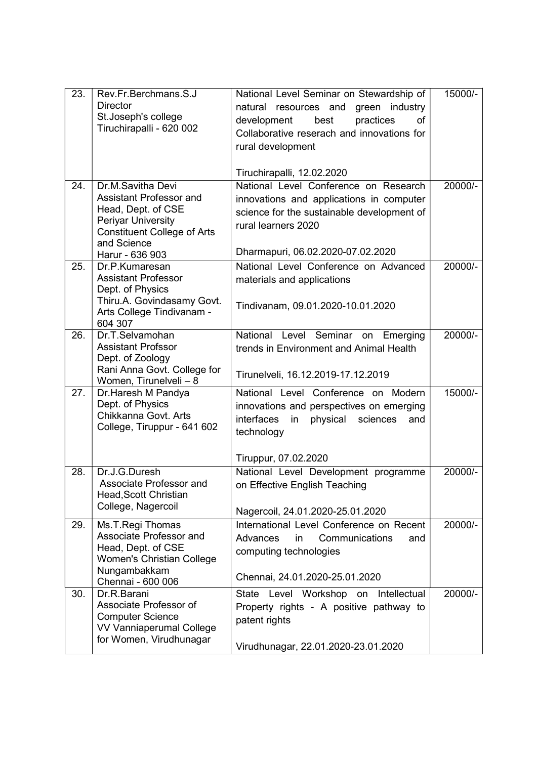| 23. | Rev.Fr.Berchmans.S.J<br><b>Director</b><br>St.Joseph's college<br>Tiruchirapalli - 620 002                                                                       | National Level Seminar on Stewardship of<br>natural resources and<br>green industry<br>development<br>best<br>practices<br>of<br>Collaborative reserach and innovations for<br>rural development<br>Tiruchirapalli, 12.02.2020 | 15000/- |
|-----|------------------------------------------------------------------------------------------------------------------------------------------------------------------|--------------------------------------------------------------------------------------------------------------------------------------------------------------------------------------------------------------------------------|---------|
| 24. | Dr.M.Savitha Devi<br>Assistant Professor and<br>Head, Dept. of CSE<br>Periyar University<br><b>Constituent College of Arts</b><br>and Science<br>Harur - 636 903 | National Level Conference on Research<br>innovations and applications in computer<br>science for the sustainable development of<br>rural learners 2020<br>Dharmapuri, 06.02.2020-07.02.2020                                    | 20000/- |
| 25. | Dr.P.Kumaresan<br><b>Assistant Professor</b><br>Dept. of Physics<br>Thiru.A. Govindasamy Govt.<br>Arts College Tindivanam -<br>604 307                           | National Level Conference on Advanced<br>materials and applications<br>Tindivanam, 09.01.2020-10.01.2020                                                                                                                       | 20000/- |
| 26. | Dr.T.Selvamohan<br><b>Assistant Profssor</b><br>Dept. of Zoology<br>Rani Anna Govt. College for<br>Women, Tirunelveli - 8                                        | National<br>Level Seminar<br>Emerging<br>on<br>trends in Environment and Animal Health<br>Tirunelveli, 16.12.2019-17.12.2019                                                                                                   | 20000/- |
| 27. | Dr.Haresh M Pandya<br>Dept. of Physics<br>Chikkanna Govt. Arts<br>College, Tiruppur - 641 602                                                                    | National Level Conference on Modern<br>innovations and perspectives on emerging<br>interfaces<br>physical<br>sciences<br>and<br>in<br>technology<br>Tiruppur, 07.02.2020                                                       | 15000/- |
| 28. | Dr.J.G.Duresh<br>Associate Professor and<br>Head, Scott Christian<br>College, Nagercoil                                                                          | National Level Development programme<br>on Effective English Teaching<br>Nagercoil, 24.01.2020-25.01.2020                                                                                                                      | 20000/- |
| 29. | Ms.T.Regi Thomas<br>Associate Professor and<br>Head, Dept. of CSE<br>Women's Christian College<br>Nungambakkam                                                   | International Level Conference on Recent<br>Advances<br>Communications<br>in<br>and<br>computing technologies                                                                                                                  | 20000/- |
| 30. | Chennai - 600 006<br>Dr.R.Barani<br>Associate Professor of<br><b>Computer Science</b><br><b>VV Vanniaperumal College</b><br>for Women, Virudhunagar              | Chennai, 24.01.2020-25.01.2020<br>State Level Workshop<br>Intellectual<br>on<br>Property rights - A positive pathway to<br>patent rights<br>Virudhunagar, 22.01.2020-23.01.2020                                                | 20000/- |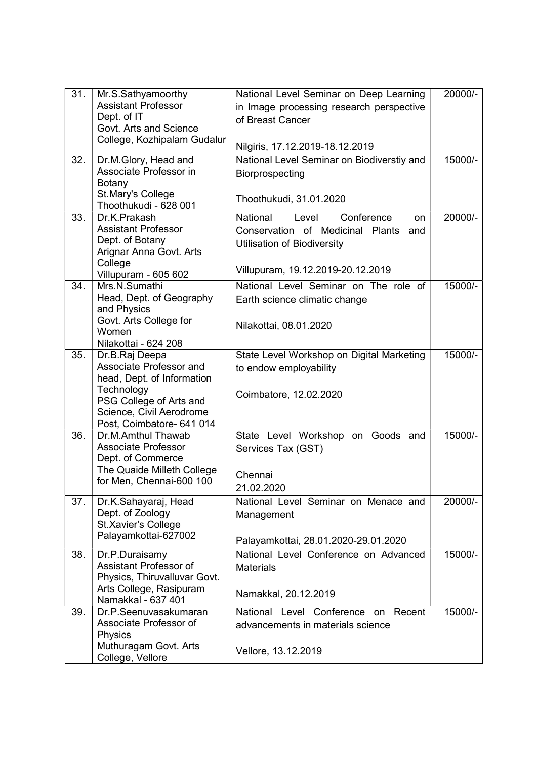| 31. | Mr.S.Sathyamoorthy                          | National Level Seminar on Deep Learning             | 20000/- |
|-----|---------------------------------------------|-----------------------------------------------------|---------|
|     | <b>Assistant Professor</b>                  | in Image processing research perspective            |         |
|     | Dept. of IT                                 | of Breast Cancer                                    |         |
|     | Govt. Arts and Science                      |                                                     |         |
|     | College, Kozhipalam Gudalur                 | Nilgiris, 17.12.2019-18.12.2019                     |         |
| 32. | Dr.M.Glory, Head and                        | National Level Seminar on Biodiverstiy and          | 15000/- |
|     | Associate Professor in                      | Biorprospecting                                     |         |
|     | <b>Botany</b>                               |                                                     |         |
|     | St.Mary's College<br>Thoothukudi - 628 001  | Thoothukudi, 31.01.2020                             |         |
| 33. | Dr.K.Prakash                                | National<br>Conference<br>Level<br>on               | 20000/- |
|     | <b>Assistant Professor</b>                  | Conservation of Medicinal Plants<br>and             |         |
|     | Dept. of Botany                             | Utilisation of Biodiversity                         |         |
|     | Arignar Anna Govt. Arts                     |                                                     |         |
|     | College                                     | Villupuram, 19.12.2019-20.12.2019                   |         |
|     | Villupuram - 605 602                        |                                                     |         |
| 34. | Mrs.N.Sumathi                               | National Level Seminar on The role of               | 15000/- |
|     | Head, Dept. of Geography<br>and Physics     | Earth science climatic change                       |         |
|     | Govt. Arts College for                      |                                                     |         |
|     | Women                                       | Nilakottai, 08.01.2020                              |         |
|     | Nilakottai - 624 208                        |                                                     |         |
| 35. | Dr.B.Raj Deepa                              | State Level Workshop on Digital Marketing           | 15000/- |
|     | Associate Professor and                     | to endow employability                              |         |
|     | head, Dept. of Information                  |                                                     |         |
|     | Technology<br>PSG College of Arts and       | Coimbatore, 12.02.2020                              |         |
|     | Science, Civil Aerodrome                    |                                                     |         |
|     | Post, Coimbatore- 641 014                   |                                                     |         |
| 36. | Dr.M.Amthul Thawab                          | State Level Workshop<br>on Goods and                | 15000/- |
|     | <b>Associate Professor</b>                  | Services Tax (GST)                                  |         |
|     | Dept. of Commerce                           |                                                     |         |
|     | The Quaide Milleth College                  | Chennai                                             |         |
|     | for Men, Chennai-600 100                    | 21.02.2020                                          |         |
| 37. | Dr.K.Sahayaraj, Head                        | National Level Seminar on Menace and                | 20000/- |
|     | Dept. of Zoology                            | Management                                          |         |
|     | St.Xavier's College                         |                                                     |         |
|     | Palayamkottai-627002                        | Palayamkottai, 28.01.2020-29.01.2020                |         |
| 38. | Dr.P.Duraisamy                              | National Level Conference on Advanced               | 15000/- |
|     | Assistant Professor of                      | <b>Materials</b>                                    |         |
|     | Physics, Thiruvalluvar Govt.                |                                                     |         |
|     | Arts College, Rasipuram                     | Namakkal, 20.12.2019                                |         |
| 39. | Namakkal - 637 401<br>Dr.P.Seenuvasakumaran | National<br>Level Conference<br>Recent<br><b>on</b> | 15000/- |
|     | Associate Professor of                      | advancements in materials science                   |         |
|     | Physics                                     |                                                     |         |
|     | Muthuragam Govt. Arts                       | Vellore, 13.12.2019                                 |         |
|     | College, Vellore                            |                                                     |         |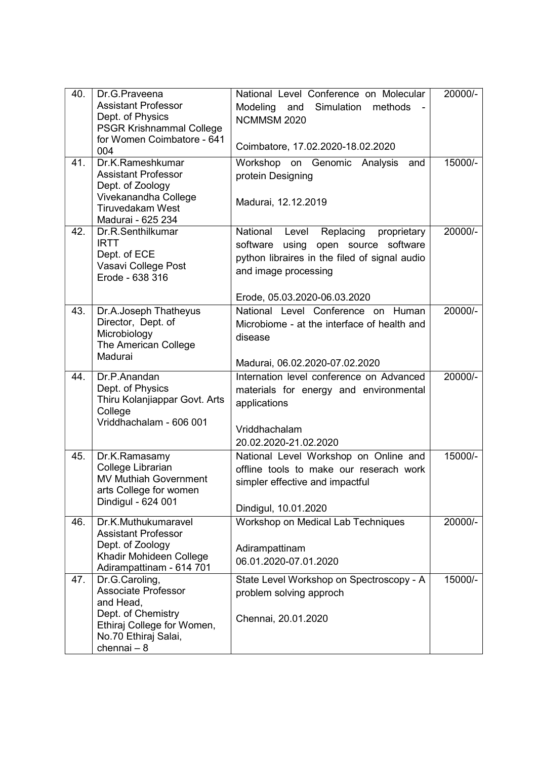| 40. | Dr.G.Praveena                                      | National Level Conference on Molecular        | 20000/- |
|-----|----------------------------------------------------|-----------------------------------------------|---------|
|     | <b>Assistant Professor</b>                         | Simulation<br>Modeling<br>methods<br>and      |         |
|     | Dept. of Physics                                   | NCMMSM 2020                                   |         |
|     | <b>PSGR Krishnammal College</b>                    |                                               |         |
|     | for Women Coimbatore - 641<br>004                  | Coimbatore, 17.02.2020-18.02.2020             |         |
| 41. | Dr.K.Rameshkumar                                   | Workshop on Genomic Analysis<br>and           | 15000/- |
|     | <b>Assistant Professor</b>                         | protein Designing                             |         |
|     | Dept. of Zoology                                   |                                               |         |
|     | Vivekanandha College<br><b>Tiruvedakam West</b>    | Madurai, 12.12.2019                           |         |
|     | Madurai - 625 234                                  |                                               |         |
| 42. | Dr.R.Senthilkumar                                  | National Level Replacing<br>proprietary       | 20000/- |
|     | <b>IRTT</b>                                        | software using open source software           |         |
|     | Dept. of ECE                                       | python libraires in the filed of signal audio |         |
|     | Vasavi College Post                                | and image processing                          |         |
|     | Erode - 638 316                                    |                                               |         |
|     |                                                    | Erode, 05.03.2020-06.03.2020                  |         |
| 43. | Dr.A.Joseph Thatheyus                              | National Level Conference on Human            | 20000/- |
|     | Director, Dept. of                                 | Microbiome - at the interface of health and   |         |
|     | Microbiology<br>The American College               | disease                                       |         |
|     | Madurai                                            |                                               |         |
|     |                                                    | Madurai, 06.02.2020-07.02.2020                |         |
| 44. | Dr.P.Anandan                                       | Internation level conference on Advanced      | 20000/- |
|     | Dept. of Physics                                   | materials for energy and environmental        |         |
|     | Thiru Kolanjiappar Govt. Arts<br>College           | applications                                  |         |
|     | Vriddhachalam - 606 001                            |                                               |         |
|     |                                                    | Vriddhachalam                                 |         |
|     |                                                    | 20.02.2020-21.02.2020                         |         |
| 45. | Dr.K.Ramasamy                                      | National Level Workshop on Online and         | 15000/- |
|     | College Librarian<br><b>MV Muthiah Government</b>  | offline tools to make our reserach work       |         |
|     | arts College for women                             | simpler effective and impactful               |         |
|     | Dindigul - 624 001                                 |                                               |         |
|     |                                                    | Dindigul, 10.01.2020                          |         |
| 46. | Dr.K.Muthukumaravel<br><b>Assistant Professor</b>  | Workshop on Medical Lab Techniques            | 20000/- |
|     | Dept. of Zoology                                   |                                               |         |
|     | Khadir Mohideen College                            | Adirampattinam                                |         |
|     | Adirampattinam - 614 701                           | 06.01.2020-07.01.2020                         |         |
| 47. | Dr.G.Caroling,                                     | State Level Workshop on Spectroscopy - A      | 15000/- |
|     |                                                    |                                               |         |
|     | <b>Associate Professor</b>                         | problem solving approch                       |         |
|     | and Head,                                          |                                               |         |
|     | Dept. of Chemistry                                 | Chennai, 20.01.2020                           |         |
|     | Ethiraj College for Women,<br>No.70 Ethiraj Salai, |                                               |         |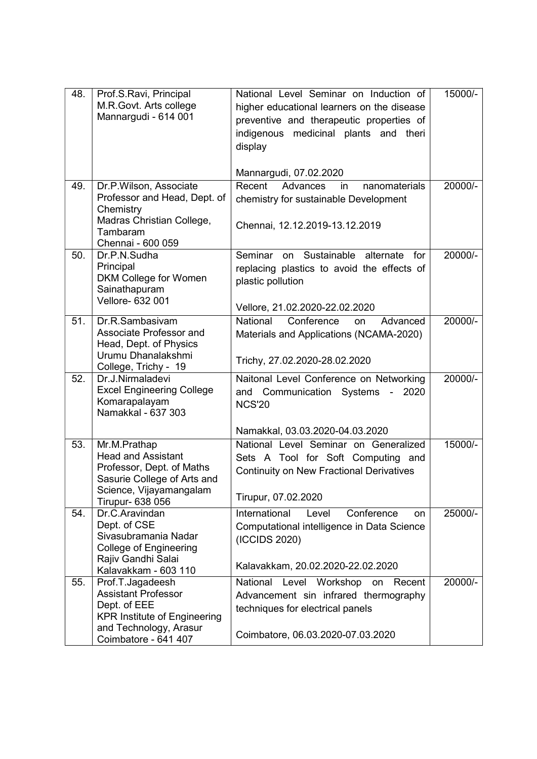| 48. | Prof.S.Ravi, Principal<br>M.R.Govt. Arts college<br>Mannargudi - 614 001                                                          | National Level Seminar on Induction of<br>higher educational learners on the disease<br>preventive and therapeutic properties of<br>indigenous medicinal plants and theri<br>display | 15000/- |
|-----|-----------------------------------------------------------------------------------------------------------------------------------|--------------------------------------------------------------------------------------------------------------------------------------------------------------------------------------|---------|
|     |                                                                                                                                   | Mannargudi, 07.02.2020                                                                                                                                                               |         |
| 49. | Dr.P.Wilson, Associate<br>Professor and Head, Dept. of<br>Chemistry<br>Madras Christian College,<br>Tambaram<br>Chennai - 600 059 | Recent<br>Advances<br>nanomaterials<br>in<br>chemistry for sustainable Development<br>Chennai, 12.12.2019-13.12.2019                                                                 | 20000/- |
| 50. | Dr.P.N.Sudha<br>Principal<br>DKM College for Women<br>Sainathapuram<br>Vellore- 632 001                                           | Sustainable<br>Seminar<br>alternate<br>for<br>on<br>replacing plastics to avoid the effects of<br>plastic pollution<br>Vellore, 21.02.2020-22.02.2020                                | 20000/- |
| 51. | Dr.R.Sambasivam<br>Associate Professor and<br>Head, Dept. of Physics<br>Urumu Dhanalakshmi<br>College, Trichy - 19                | National<br>Conference<br>Advanced<br><b>on</b><br>Materials and Applications (NCAMA-2020)<br>Trichy, 27.02.2020-28.02.2020                                                          | 20000/- |
| 52. | Dr.J.Nirmaladevi<br><b>Excel Engineering College</b><br>Komarapalayam<br>Namakkal - 637 303                                       | Naitonal Level Conference on Networking<br>Communication Systems -<br>and<br>2020<br><b>NCS'20</b>                                                                                   | 20000/- |
|     |                                                                                                                                   | Namakkal, 03.03.2020-04.03.2020                                                                                                                                                      |         |
| 53. | Mr.M.Prathap<br><b>Head and Assistant</b><br>Professor, Dept. of Maths<br>Sasurie College of Arts and<br>Science, Vijayamangalam  | National Level Seminar on Generalized<br>Sets A Tool for Soft Computing and<br><b>Continuity on New Fractional Derivatives</b>                                                       | 15000/- |
|     | Tirupur- 638 056                                                                                                                  | Tirupur, 07.02.2020                                                                                                                                                                  |         |
| 54. | Dr.C.Aravindan<br>Dept. of CSE<br>Sivasubramania Nadar<br><b>College of Engineering</b><br>Rajiv Gandhi Salai                     | International<br>Conference<br>Level<br>on<br>Computational intelligence in Data Science<br>(ICCIDS 2020)<br>Kalavakkam, 20.02.2020-22.02.2020                                       | 25000/- |
|     | Kalavakkam - 603 110                                                                                                              |                                                                                                                                                                                      |         |
| 55. | Prof.T.Jagadeesh<br><b>Assistant Professor</b><br>Dept. of EEE<br><b>KPR Institute of Engineering</b>                             | Level Workshop<br>National<br>on<br>Recent<br>Advancement sin infrared thermography<br>techniques for electrical panels                                                              | 20000/- |
|     | and Technology, Arasur<br>Coimbatore - 641 407                                                                                    | Coimbatore, 06.03.2020-07.03.2020                                                                                                                                                    |         |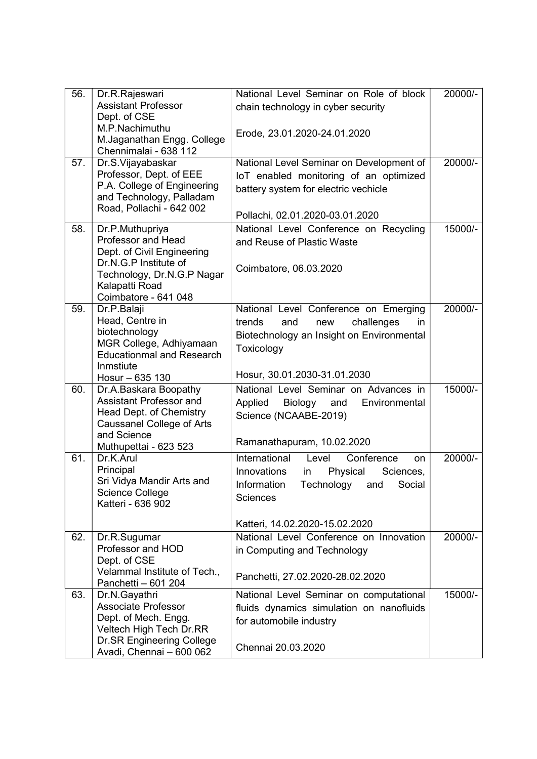| 56. | Dr.R.Rajeswari                                              | National Level Seminar on Role of block    | 20000/- |
|-----|-------------------------------------------------------------|--------------------------------------------|---------|
|     | <b>Assistant Professor</b>                                  | chain technology in cyber security         |         |
|     | Dept. of CSE                                                |                                            |         |
|     | M.P.Nachimuthu                                              | Erode, 23.01.2020-24.01.2020               |         |
|     | M.Jaganathan Engg. College                                  |                                            |         |
|     | Chennimalai - 638 112                                       |                                            |         |
| 57. | Dr.S.Vijayabaskar                                           | National Level Seminar on Development of   | 20000/- |
|     | Professor, Dept. of EEE                                     | IoT enabled monitoring of an optimized     |         |
|     | P.A. College of Engineering                                 | battery system for electric vechicle       |         |
|     | and Technology, Palladam                                    |                                            |         |
|     | Road, Pollachi - 642 002                                    | Pollachi, 02.01.2020-03.01.2020            |         |
| 58. | Dr.P.Muthupriya                                             | National Level Conference on Recycling     | 15000/- |
|     | <b>Professor and Head</b>                                   | and Reuse of Plastic Waste                 |         |
|     | Dept. of Civil Engineering                                  |                                            |         |
|     | Dr.N.G.P Institute of                                       | Coimbatore, 06.03.2020                     |         |
|     | Technology, Dr.N.G.P Nagar                                  |                                            |         |
|     | Kalapatti Road                                              |                                            |         |
|     | Coimbatore - 641 048                                        |                                            |         |
| 59. | Dr.P.Balaji                                                 | National Level Conference on Emerging      | 20000/- |
|     | Head, Centre in                                             | trends<br>challenges<br>and<br>new<br>in.  |         |
|     | biotechnology                                               | Biotechnology an Insight on Environmental  |         |
|     | MGR College, Adhiyamaan<br><b>Educationmal and Research</b> | Toxicology                                 |         |
|     | Inmstiute                                                   |                                            |         |
|     | Hosur - 635 130                                             | Hosur, 30.01.2030-31.01.2030               |         |
| 60. | Dr.A.Baskara Boopathy                                       | National Level Seminar on Advances in      | 15000/- |
|     | Assistant Professor and                                     | Applied<br>Biology<br>Environmental<br>and |         |
|     | Head Dept. of Chemistry                                     | Science (NCAABE-2019)                      |         |
|     | <b>Caussanel College of Arts</b>                            |                                            |         |
|     | and Science                                                 | Ramanathapuram, 10.02.2020                 |         |
|     | Muthupettai - 623 523                                       |                                            |         |
| 61. | Dr.K.Arul                                                   | International<br>Conference<br>Level<br>on | 20000/- |
|     | Principal                                                   | Innovations<br>Physical<br>Sciences,<br>in |         |
|     | Sri Vidya Mandir Arts and                                   | Information<br>Technology<br>Social<br>and |         |
|     | Science College<br>Katteri - 636 902                        | <b>Sciences</b>                            |         |
|     |                                                             |                                            |         |
|     |                                                             | Katteri, 14.02.2020-15.02.2020             |         |
| 62. | Dr.R.Sugumar                                                | National Level Conference on Innovation    | 20000/- |
|     | Professor and HOD                                           | in Computing and Technology                |         |
|     | Dept. of CSE                                                |                                            |         |
|     | Velammal Institute of Tech.,                                | Panchetti, 27.02.2020-28.02.2020           |         |
|     | Panchetti - 601 204                                         |                                            |         |
| 63. | Dr.N.Gayathri<br><b>Associate Professor</b>                 | National Level Seminar on computational    | 15000/- |
|     | Dept. of Mech. Engg.                                        | fluids dynamics simulation on nanofluids   |         |
|     | Veltech High Tech Dr.RR                                     | for automobile industry                    |         |
|     | <b>Dr.SR Engineering College</b>                            |                                            |         |
|     | Avadi, Chennai - 600 062                                    | Chennai 20.03.2020                         |         |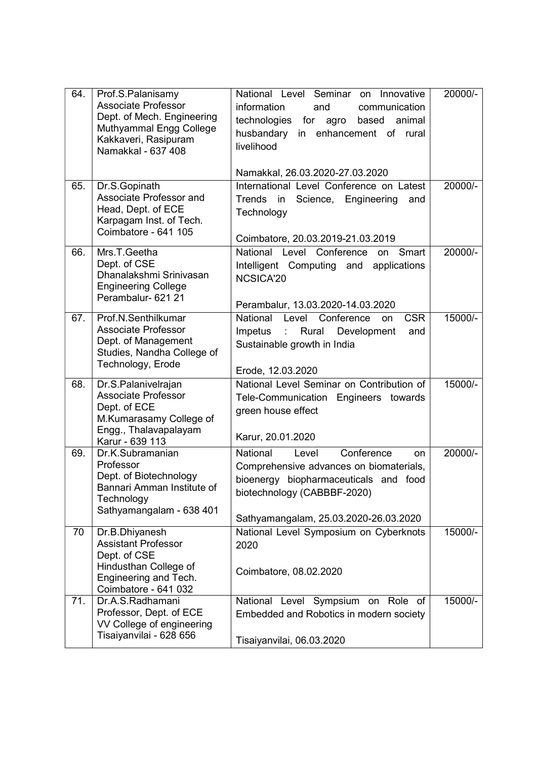| 64. | Prof.S.Palanisamy<br><b>Associate Professor</b><br>Dept. of Mech. Engineering<br>Muthyammal Engg College<br>Kakkaveri, Rasipuram<br>Namakkal - 637 408 | National Level Seminar on Innovative<br>information<br>communication<br>and<br>technologies for<br>agro based<br>animal<br>husbandary<br>in enhancement of rural<br>livelihood                    | 20000/- |
|-----|--------------------------------------------------------------------------------------------------------------------------------------------------------|---------------------------------------------------------------------------------------------------------------------------------------------------------------------------------------------------|---------|
|     |                                                                                                                                                        | Namakkal, 26.03.2020-27.03.2020                                                                                                                                                                   |         |
| 65. | Dr.S.Gopinath<br>Associate Professor and<br>Head, Dept. of ECE<br>Karpagam Inst. of Tech.<br>Coimbatore - 641 105                                      | International Level Conference on Latest<br>Trends in Science, Engineering<br>and<br>Technology<br>Coimbatore, 20.03.2019-21.03.2019                                                              | 20000/- |
| 66. | Mrs.T.Geetha<br>Dept. of CSE<br>Dhanalakshmi Srinivasan<br><b>Engineering College</b><br>Perambalur- 621 21                                            | National Level Conference<br>Smart<br>on<br>Intelligent Computing and applications<br>NCSICA'20<br>Perambalur, 13.03.2020-14.03.2020                                                              | 20000/- |
| 67. | Prof.N.Senthilkumar<br><b>Associate Professor</b><br>Dept. of Management<br>Studies, Nandha College of<br>Technology, Erode                            | National Level<br>Conference<br><b>CSR</b><br>on<br>Impetus<br>: Rural<br>Development<br>and<br>Sustainable growth in India<br>Erode, 12.03.2020                                                  | 15000/- |
| 68. | Dr.S.Palanivelrajan<br><b>Associate Professor</b><br>Dept. of ECE<br>M.Kumarasamy College of<br>Engg., Thalavapalayam<br>Karur - 639 113               | National Level Seminar on Contribution of<br>Tele-Communication Engineers towards<br>green house effect<br>Karur, 20.01.2020                                                                      | 15000/- |
| 69. | Dr.K.Subramanian<br>Professor<br>Dept. of Biotechnology<br>Bannari Amman Institute of<br>Technology<br>Sathyamangalam - 638 401                        | National<br>Conference<br>Level<br>on<br>Comprehensive advances on biomaterials,<br>bioenergy biopharmaceuticals and food<br>biotechnology (CABBBF-2020)<br>Sathyamangalam, 25.03.2020-26.03.2020 | 20000/- |
| 70  | Dr.B.Dhiyanesh<br><b>Assistant Professor</b><br>Dept. of CSE<br>Hindusthan College of<br>Engineering and Tech.<br>Coimbatore - 641 032                 | National Level Symposium on Cyberknots<br>2020<br>Coimbatore, 08.02.2020                                                                                                                          | 15000/- |
| 71. | Dr.A.S.Radhamani<br>Professor, Dept. of ECE<br>VV College of engineering<br>Tisaiyanvilai - 628 656                                                    | National Level Sympsium on Role of<br>Embedded and Robotics in modern society<br>Tisaiyanvilai, 06.03.2020                                                                                        | 15000/- |